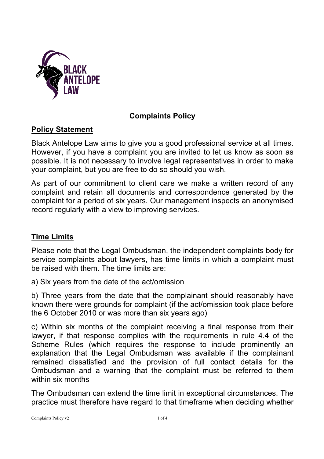

## **Complaints Policy**

## **Policy Statement**

Black Antelope Law aims to give you a good professional service at all times. However, if you have a complaint you are invited to let us know as soon as possible. It is not necessary to involve legal representatives in order to make your complaint, but you are free to do so should you wish.

As part of our commitment to client care we make a written record of any complaint and retain all documents and correspondence generated by the complaint for a period of six years. Our management inspects an anonymised record regularly with a view to improving services.

# **Time Limits**

Please note that the Legal Ombudsman, the independent complaints body for service complaints about lawyers, has time limits in which a complaint must be raised with them. The time limits are:

a) Six years from the date of the act/omission

b) Three years from the date that the complainant should reasonably have known there were grounds for complaint (if the act/omission took place before the 6 October 2010 or was more than six years ago)

c) Within six months of the complaint receiving a final response from their lawyer, if that response complies with the requirements in rule 4.4 of the Scheme Rules (which requires the response to include prominently an explanation that the Legal Ombudsman was available if the complainant remained dissatisfied and the provision of full contact details for the Ombudsman and a warning that the complaint must be referred to them within six months

The Ombudsman can extend the time limit in exceptional circumstances. The practice must therefore have regard to that timeframe when deciding whether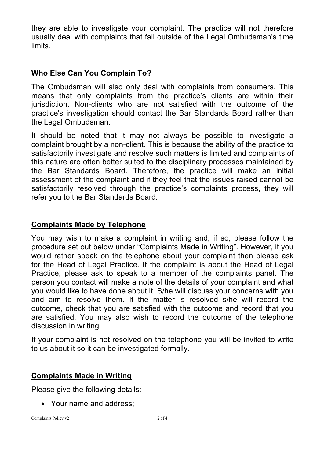they are able to investigate your complaint. The practice will not therefore usually deal with complaints that fall outside of the Legal Ombudsman's time limits.

## **Who Else Can You Complain To?**

The Ombudsman will also only deal with complaints from consumers. This means that only complaints from the practice's clients are within their jurisdiction. Non-clients who are not satisfied with the outcome of the practice's investigation should contact the Bar Standards Board rather than the Legal Ombudsman.

It should be noted that it may not always be possible to investigate a complaint brought by a non-client. This is because the ability of the practice to satisfactorily investigate and resolve such matters is limited and complaints of this nature are often better suited to the disciplinary processes maintained by the Bar Standards Board. Therefore, the practice will make an initial assessment of the complaint and if they feel that the issues raised cannot be satisfactorily resolved through the practice's complaints process, they will refer you to the Bar Standards Board.

#### **Complaints Made by Telephone**

You may wish to make a complaint in writing and, if so, please follow the procedure set out below under "Complaints Made in Writing". However, if you would rather speak on the telephone about your complaint then please ask for the Head of Legal Practice. If the complaint is about the Head of Legal Practice, please ask to speak to a member of the complaints panel. The person you contact will make a note of the details of your complaint and what you would like to have done about it. S/he will discuss your concerns with you and aim to resolve them. If the matter is resolved s/he will record the outcome, check that you are satisfied with the outcome and record that you are satisfied. You may also wish to record the outcome of the telephone discussion in writing.

If your complaint is not resolved on the telephone you will be invited to write to us about it so it can be investigated formally.

#### **Complaints Made in Writing**

Please give the following details:

• Your name and address;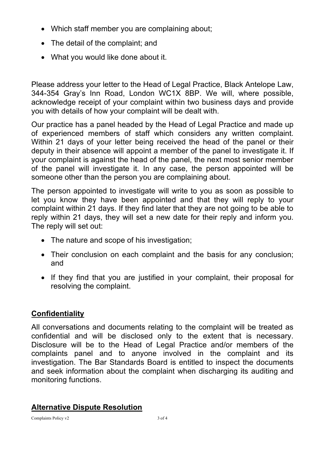- Which staff member you are complaining about;
- The detail of the complaint; and
- What you would like done about it.

Please address your letter to the Head of Legal Practice, Black Antelope Law, 344-354 Gray's Inn Road, London WC1X 8BP. We will, where possible, acknowledge receipt of your complaint within two business days and provide you with details of how your complaint will be dealt with.

Our practice has a panel headed by the Head of Legal Practice and made up of experienced members of staff which considers any written complaint. Within 21 days of your letter being received the head of the panel or their deputy in their absence will appoint a member of the panel to investigate it. If your complaint is against the head of the panel, the next most senior member of the panel will investigate it. In any case, the person appointed will be someone other than the person you are complaining about.

The person appointed to investigate will write to you as soon as possible to let you know they have been appointed and that they will reply to your complaint within 21 days. If they find later that they are not going to be able to reply within 21 days, they will set a new date for their reply and inform you. The reply will set out:

- The nature and scope of his investigation;
- Their conclusion on each complaint and the basis for any conclusion; and
- If they find that you are justified in your complaint, their proposal for resolving the complaint.

# **Confidentiality**

All conversations and documents relating to the complaint will be treated as confidential and will be disclosed only to the extent that is necessary. Disclosure will be to the Head of Legal Practice and/or members of the complaints panel and to anyone involved in the complaint and its investigation. The Bar Standards Board is entitled to inspect the documents and seek information about the complaint when discharging its auditing and monitoring functions.

# **Alternative Dispute Resolution**